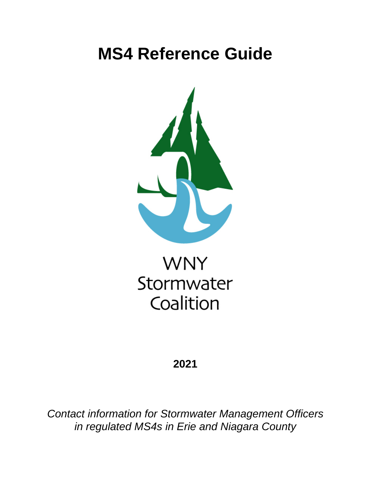## **MS4 Reference Guide**



## **WNY** Stormwater Coalition

## **2021**

*Contact information for Stormwater Management Officers in regulated MS4s in Erie and Niagara County*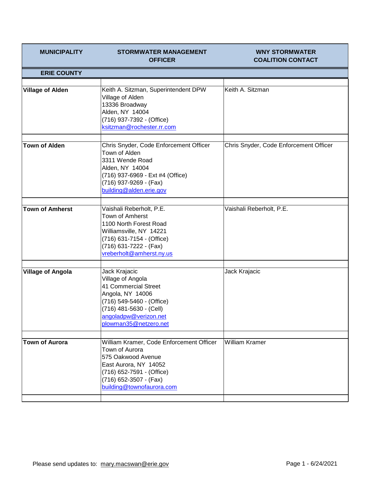| <b>MUNICIPALITY</b>      | <b>STORMWATER MANAGEMENT</b><br><b>OFFICER</b>                                                                                                                                                | <b>WNY STORMWATER</b><br><b>COALITION CONTACT</b> |
|--------------------------|-----------------------------------------------------------------------------------------------------------------------------------------------------------------------------------------------|---------------------------------------------------|
| <b>ERIE COUNTY</b>       |                                                                                                                                                                                               |                                                   |
| <b>Village of Alden</b>  | Keith A. Sitzman, Superintendent DPW<br>Village of Alden<br>13336 Broadway<br>Alden, NY 14004<br>(716) 937-7392 - (Office)<br>ksitzman@rochester.rr.com                                       | Keith A. Sitzman                                  |
| <b>Town of Alden</b>     | Chris Snyder, Code Enforcement Officer<br>Town of Alden<br>3311 Wende Road<br>Alden, NY 14004<br>(716) 937-6969 - Ext #4 (Office)<br>(716) 937-9269 - (Fax)<br>building@alden.erie.gov        | Chris Snyder, Code Enforcement Officer            |
| <b>Town of Amherst</b>   | Vaishali Reberholt, P.E.<br><b>Town of Amherst</b><br>1100 North Forest Road<br>Williamsville, NY 14221<br>(716) 631-7154 - (Office)<br>(716) 631-7222 - (Fax)<br>vreberholt@amherst.ny.us    | Vaishali Reberholt, P.E.                          |
| <b>Village of Angola</b> | Jack Krajacic<br>Village of Angola<br>41 Commercial Street<br>Angola, NY 14006<br>(716) 549-5460 - (Office)<br>(716) 481-5630 - (Cell)<br>angoladpw@verizon.net<br>plowman35@netzero.net      | Jack Krajacic                                     |
| <b>Town of Aurora</b>    | William Kramer, Code Enforcement Officer<br>Town of Aurora<br>575 Oakwood Avenue<br>East Aurora, NY 14052<br>(716) 652-7591 - (Office)<br>(716) 652-3507 - (Fax)<br>building@townofaurora.com | <b>William Kramer</b>                             |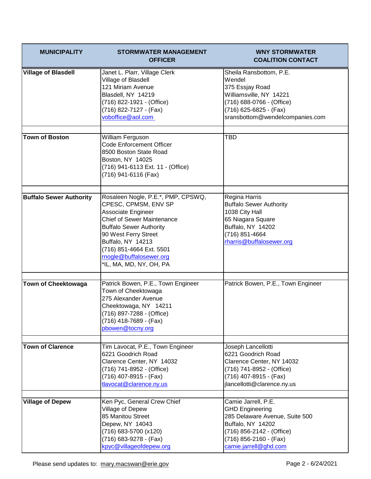| <b>MUNICIPALITY</b>            | <b>STORMWATER MANAGEMENT</b><br><b>OFFICER</b>                                                                                                                                                                                                                                                | <b>WNY STORMWATER</b><br><b>COALITION CONTACT</b>                                                                                                                                    |
|--------------------------------|-----------------------------------------------------------------------------------------------------------------------------------------------------------------------------------------------------------------------------------------------------------------------------------------------|--------------------------------------------------------------------------------------------------------------------------------------------------------------------------------------|
| <b>Village of Blasdell</b>     | Janet L. Plarr, Village Clerk<br>Village of Blasdell<br>121 Miriam Avenue<br>Blasdell, NY 14219<br>(716) 822-1921 - (Office)<br>(716) 822-7127 - (Fax)<br>voboffice@aol.com                                                                                                                   | Sheila Ransbottom, P.E.<br>Wendel<br>375 Essjay Road<br>Williamsville, NY 14221<br>(716) 688-0766 - (Office)<br>(716) 625-6825 - (Fax)<br>sransbottom@wendelcompanies.com            |
| <b>Town of Boston</b>          | William Ferguson<br><b>Code Enforcement Officer</b><br>8500 Boston State Road<br>Boston, NY 14025<br>(716) 941-6113 Ext. 11 - (Office)<br>(716) 941-6116 (Fax)                                                                                                                                | <b>TBD</b>                                                                                                                                                                           |
| <b>Buffalo Sewer Authority</b> | Rosaleen Nogle, P.E.*, PMP, CPSWQ,<br>CPESC, CPMSM, ENV SP<br><b>Associate Engineer</b><br><b>Chief of Sewer Maintenance</b><br><b>Buffalo Sewer Authority</b><br>90 West Ferry Street<br>Buffalo, NY 14213<br>(716) 851-4664 Ext. 5501<br>rnogle@buffalosewer.org<br>*IL, MA, MD, NY, OH, PA | Regina Harris<br><b>Buffalo Sewer Authority</b><br>1038 City Hall<br>65 Niagara Square<br>Buffalo, NY 14202<br>(716) 851-4664<br>rharris@buffalosewer.org                            |
| <b>Town of Cheektowaga</b>     | Patrick Bowen, P.E., Town Engineer<br>Town of Cheektowaga<br>275 Alexander Avenue<br>Cheektowaga, NY 14211<br>(716) 897-7288 - (Office)<br>(716) 418-7689 - (Fax)<br>pbowen@tocny.org                                                                                                         | Patrick Bowen, P.E., Town Engineer                                                                                                                                                   |
| <b>Town of Clarence</b>        | Tim Lavocat, P.E., Town Engineer<br>6221 Goodrich Road<br>Clarence Center, NY 14032<br>(716) 741-8952 - (Office)<br>(716) 407-8915 - (Fax)<br>tlavocat@clarence.ny.us                                                                                                                         | Joseph Lancellotti<br>6221 Goodrich Road<br>Clarence Center, NY 14032<br>(716) 741-8952 - (Office)<br>(716) 407-8915 - (Fax)<br>jlancellotti@clarence.ny.us                          |
| <b>Village of Depew</b>        | Ken Pyc, General Crew Chief<br>Village of Depew<br>85 Manitou Street<br>Depew, NY 14043<br>(716) 683-5700 (x120)<br>(716) 683-9278 - (Fax)<br>kpyc@villageofdepew.org                                                                                                                         | Camie Jarrell, P.E.<br><b>GHD Engineering</b><br>285 Delaware Avenue, Suite 500<br>Buffalo, NY 14202<br>(716) 856-2142 - (Office)<br>(716) 856-2160 - (Fax)<br>camie.jarrell@ghd.com |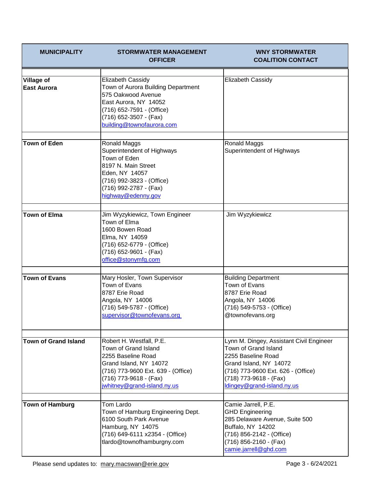| <b>MUNICIPALITY</b>                     | <b>STORMWATER MANAGEMENT</b><br><b>OFFICER</b>                                                                                                                                                    | <b>WNY STORMWATER</b><br><b>COALITION CONTACT</b>                                                                                                                                                              |
|-----------------------------------------|---------------------------------------------------------------------------------------------------------------------------------------------------------------------------------------------------|----------------------------------------------------------------------------------------------------------------------------------------------------------------------------------------------------------------|
| <b>Village of</b><br><b>East Aurora</b> | <b>Elizabeth Cassidy</b><br>Town of Aurora Building Department<br>575 Oakwood Avenue<br>East Aurora, NY 14052<br>(716) 652-7591 - (Office)<br>(716) 652-3507 - (Fax)<br>building@townofaurora.com | Elizabeth Cassidy                                                                                                                                                                                              |
| <b>Town of Eden</b>                     | Ronald Maggs<br>Superintendent of Highways<br>Town of Eden<br>8197 N. Main Street<br>Eden, NY 14057<br>(716) 992-3823 - (Office)<br>(716) 992-2787 - (Fax)<br>highway@edenny.gov                  | Ronald Maggs<br>Superintendent of Highways                                                                                                                                                                     |
| <b>Town of Elma</b>                     | Jim Wyzykiewicz, Town Engineer<br>Town of Elma<br>1600 Bowen Road<br>Elma, NY 14059<br>(716) 652-6779 - (Office)<br>(716) 652-9601 - (Fax)<br>office@stonymfg.com                                 | Jim Wyzykiewicz                                                                                                                                                                                                |
| <b>Town of Evans</b>                    | Mary Hosler, Town Supervisor<br>Town of Evans<br>8787 Erie Road<br>Angola, NY 14006<br>(716) 549-5787 - (Office)<br>supervisor@townofevans.org                                                    | <b>Building Department</b><br>Town of Evans<br>8787 Erie Road<br>Angola, NY 14006<br>(716) 549-5753 - (Office)<br>@townofevans.org                                                                             |
| <b>Town of Grand Island</b>             | Robert H. Westfall, P.E.<br>Town of Grand Island<br>2255 Baseline Road<br>Grand Island, NY 14072<br>(716) 773-9600 Ext. 639 - (Office)<br>(716) 773-9618 - (Fax)<br>jwhitney@grand-island.ny.us   | Lynn M. Dingey, Assistant Civil Engineer<br>Town of Grand Island<br>2255 Baseline Road<br>Grand Island, NY 14072<br>(716) 773-9600 Ext. 626 - (Office)<br>(718) 773-9618 - (Fax)<br>ldingey@grand-island.ny.us |
| <b>Town of Hamburg</b>                  | Tom Lardo<br>Town of Hamburg Engineering Dept.<br>6100 South Park Avenue<br>Hamburg, NY 14075<br>(716) 649-6111 x2354 - (Office)<br>tlardo@townofhamburgny.com                                    | Camie Jarrell, P.E.<br><b>GHD Engineering</b><br>285 Delaware Avenue, Suite 500<br>Buffalo, NY 14202<br>(716) 856-2142 - (Office)<br>(716) 856-2160 - (Fax)<br>camie.jarrell@ghd.com                           |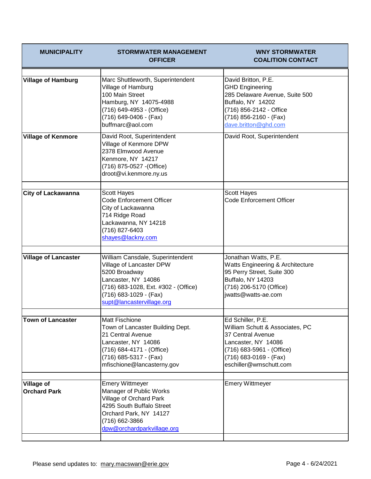| <b>MUNICIPALITY</b>                      | <b>STORMWATER MANAGEMENT</b><br><b>OFFICER</b>                                                                                                                                                      | <b>WNY STORMWATER</b><br><b>COALITION CONTACT</b>                                                                                                                                 |
|------------------------------------------|-----------------------------------------------------------------------------------------------------------------------------------------------------------------------------------------------------|-----------------------------------------------------------------------------------------------------------------------------------------------------------------------------------|
| <b>Village of Hamburg</b>                | Marc Shuttleworth, Superintendent<br>Village of Hamburg<br>100 Main Street<br>Hamburg, NY 14075-4988<br>(716) 649-4953 - (Office)<br>(716) 649-0406 - (Fax)<br>buffmarc@aol.com                     | David Britton, P.E.<br><b>GHD Engineering</b><br>285 Delaware Avenue, Suite 500<br>Buffalo, NY 14202<br>(716) 856-2142 - Office<br>(716) 856-2160 - (Fax)<br>dave.britton@ghd.com |
| <b>Village of Kenmore</b>                | David Root, Superintendent<br>Village of Kenmore DPW<br>2378 Elmwood Avenue<br>Kenmore, NY 14217<br>(716) 875-0527 - (Office)<br>droot@vi.kenmore.ny.us                                             | David Root, Superintendent                                                                                                                                                        |
| <b>City of Lackawanna</b>                | <b>Scott Hayes</b><br><b>Code Enforcement Officer</b><br>City of Lackawanna<br>714 Ridge Road<br>Lackawanna, NY 14218<br>(716) 827-6403<br>shayes@lackny.com                                        | Scott Hayes<br><b>Code Enforcement Officer</b>                                                                                                                                    |
| <b>Village of Lancaster</b>              | William Cansdale, Superintendent<br>Village of Lancaster DPW<br>5200 Broadway<br>Lancaster, NY 14086<br>(716) 683-1028, Ext. #302 - (Office)<br>(716) 683-1029 - (Fax)<br>supt@lancastervillage.org | Jonathan Watts, P.E.<br>Watts Engineering & Architecture<br>95 Perry Street, Suite 300<br>Buffalo, NY 14203<br>(716) 206-5170 (Office)<br>jwatts@watts-ae.com                     |
| <b>Town of Lancaster</b>                 | <b>Matt Fischione</b><br>Town of Lancaster Building Dept.<br>21 Central Avenue<br>Lancaster, NY 14086<br>(716) 684-4171 - (Office)<br>(716) 685-5317 - (Fax)<br>mfischione@lancasterny.gov          | Ed Schiller, P.E.<br>William Schutt & Associates, PC<br>37 Central Avenue<br>Lancaster, NY 14086<br>(716) 683-5961 - (Office)<br>(716) 683-0169 - (Fax)<br>eschiller@wmschutt.com |
| <b>Village of</b><br><b>Orchard Park</b> | <b>Emery Wittmeyer</b><br>Manager of Public Works<br>Village of Orchard Park<br>4295 South Buffalo Street<br>Orchard Park, NY 14127<br>(716) 662-3866<br>dpw@orchardparkvillage.org                 | <b>Emery Wittmeyer</b>                                                                                                                                                            |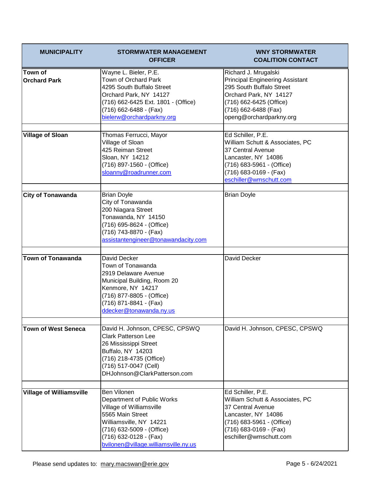| <b>MUNICIPALITY</b>             | <b>STORMWATER MANAGEMENT</b><br><b>OFFICER</b>                                                                                                                                                                      | <b>WNY STORMWATER</b><br><b>COALITION CONTACT</b>                                                                                                                                                  |
|---------------------------------|---------------------------------------------------------------------------------------------------------------------------------------------------------------------------------------------------------------------|----------------------------------------------------------------------------------------------------------------------------------------------------------------------------------------------------|
| Town of<br><b>Orchard Park</b>  | Wayne L. Bieler, P.E.<br>Town of Orchard Park<br>4295 South Buffalo Street<br>Orchard Park, NY 14127<br>(716) 662-6425 Ext. 1801 - (Office)<br>(716) 662-6488 - (Fax)<br>bielerw@orchardparkny.org                  | Richard J. Mrugalski<br><b>Principal Engineering Assistant</b><br>295 South Buffalo Street<br>Orchard Park, NY 14127<br>(716) 662-6425 (Office)<br>(716) 662-6488 (Fax)<br>openg@orchardparkny.org |
| <b>Village of Sloan</b>         | Thomas Ferrucci, Mayor<br>Village of Sloan<br>425 Reiman Street<br>Sloan, NY 14212<br>(716) 897-1560 - (Office)<br>sloanny@roadrunner.com                                                                           | Ed Schiller, P.E.<br>William Schutt & Associates, PC<br>37 Central Avenue<br>Lancaster, NY 14086<br>(716) 683-5961 - (Office)<br>(716) 683-0169 - (Fax)<br>eschiller@wmschutt.com                  |
| <b>City of Tonawanda</b>        | <b>Brian Doyle</b><br>City of Tonawanda<br>200 Niagara Street<br>Tonawanda, NY 14150<br>(716) 695-8624 - (Office)<br>(716) 743-8870 - (Fax)<br>assistantengineer@tonawandacity.com                                  | <b>Brian Doyle</b>                                                                                                                                                                                 |
| <b>Town of Tonawanda</b>        | David Decker<br>Town of Tonawanda<br>2919 Delaware Avenue<br>Municipal Building, Room 20<br>Kenmore, NY 14217<br>(716) 877-8805 - (Office)<br>(716) 871-8841 - (Fax)<br>ddecker@tonawanda.ny.us                     | David Decker                                                                                                                                                                                       |
| <b>Town of West Seneca</b>      | David H. Johnson, CPESC, CPSWQ<br><b>Clark Patterson Lee</b><br>26 Mississippi Street<br>Buffalo, NY 14203<br>(716) 218-4735 (Office)<br>(716) 517-0047 (Cell)<br>DHJohnson@ClarkPatterson.com                      | David H. Johnson, CPESC, CPSWQ                                                                                                                                                                     |
| <b>Village of Williamsville</b> | Ben Vilonen<br>Department of Public Works<br>Village of Williamsville<br>5565 Main Street<br>Williamsville, NY 14221<br>(716) 632-5009 - (Office)<br>(716) 632-0128 - (Fax)<br>bvilonen@village.williamsville.ny.us | Ed Schiller, P.E.<br>William Schutt & Associates, PC<br>37 Central Avenue<br>Lancaster, NY 14086<br>(716) 683-5961 - (Office)<br>(716) 683-0169 - (Fax)<br>eschiller@wmschutt.com                  |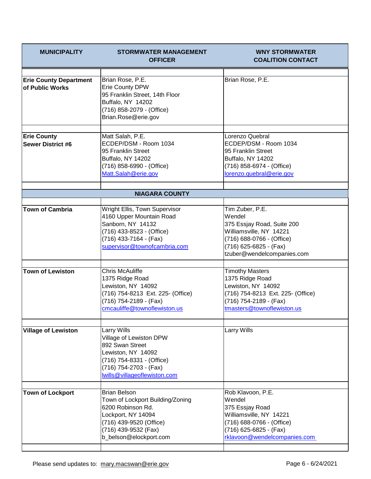| <b>MUNICIPALITY</b>                              | <b>STORMWATER MANAGEMENT</b><br><b>OFFICER</b>                                                                                                                                  | <b>WNY STORMWATER</b><br><b>COALITION CONTACT</b>                                                                                                                       |
|--------------------------------------------------|---------------------------------------------------------------------------------------------------------------------------------------------------------------------------------|-------------------------------------------------------------------------------------------------------------------------------------------------------------------------|
| <b>Erie County Department</b><br>of Public Works | Brian Rose, P.E.<br><b>Erie County DPW</b><br>95 Franklin Street, 14th Floor<br>Buffalo, NY 14202<br>(716) 858-2079 - (Office)<br>Brian.Rose@erie.gov                           | Brian Rose, P.E.                                                                                                                                                        |
| <b>Erie County</b><br><b>Sewer District #6</b>   | Matt Salah, P.E.<br>ECDEP/DSM - Room 1034<br>95 Franklin Street<br>Buffalo, NY 14202<br>(716) 858-6990 - (Office)<br>Matt.Salah@erie.gov                                        | Lorenzo Quebral<br>ECDEP/DSM - Room 1034<br>95 Franklin Street<br>Buffalo, NY 14202<br>(716) 858-6974 - (Office)<br>lorenzo.quebral@erie.gov                            |
|                                                  | <b>NIAGARA COUNTY</b>                                                                                                                                                           |                                                                                                                                                                         |
|                                                  |                                                                                                                                                                                 |                                                                                                                                                                         |
| <b>Town of Cambria</b>                           | Wright Ellis, Town Supervisor<br>4160 Upper Mountain Road<br>Sanborn, NY 14132<br>(716) 433-8523 - (Office)<br>(716) 433-7164 - (Fax)<br>supervisor@townofcambria.com           | Tim Zuber, P.E.<br>Wendel<br>375 Essjay Road, Suite 200<br>Williamsville, NY 14221<br>(716) 688-0766 - (Office)<br>(716) 625-6825 - (Fax)<br>tzuber@wendelcompanies.com |
| <b>Town of Lewiston</b>                          | <b>Chris McAuliffe</b><br>1375 Ridge Road<br>Lewiston, NY 14092<br>(716) 754-8213 Ext. 225- (Office)<br>(716) 754-2189 - (Fax)<br>cmcauliffe@townoflewiston.us                  | <b>Timothy Masters</b><br>1375 Ridge Road<br>Lewiston, NY 14092<br>(716) 754-8213 Ext. 225- (Office)<br>(716) 754-2189 - (Fax)<br>tmasters@townoflewiston.us            |
| <b>Village of Lewiston</b>                       | Larry Wills<br>Village of Lewiston DPW<br>892 Swan Street<br>Lewiston, NY 14092<br>(716) 754-8331 - (Office)<br>(716) 754-2703 - (Fax)<br>lwills@villageoflewiston.com          | Larry Wills                                                                                                                                                             |
| <b>Town of Lockport</b>                          | <b>Brian Belson</b><br>Town of Lockport Building/Zoning<br>6200 Robinson Rd.<br>Lockport, NY 14094<br>(716) 439-9520 (Office)<br>(716) 439-9532 (Fax)<br>b_belson@elockport.com | Rob Klavoon, P.E.<br>Wendel<br>375 Essjay Road<br>Williamsville, NY 14221<br>(716) 688-0766 - (Office)<br>(716) 625-6825 - (Fax)<br>rklavoon@wendelcompanies.com        |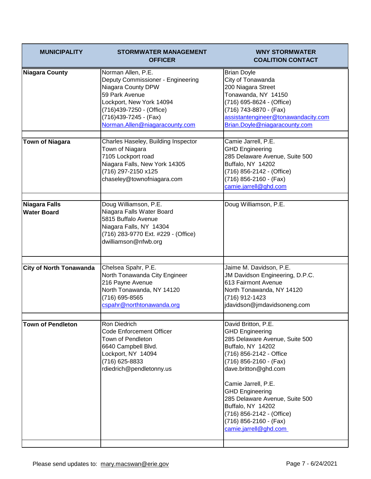| <b>MUNICIPALITY</b>                        | <b>STORMWATER MANAGEMENT</b><br><b>OFFICER</b>                                                                                                                                                                       | <b>WNY STORMWATER</b><br><b>COALITION CONTACT</b>                                                                                                                                                                                                                                                                                                                         |
|--------------------------------------------|----------------------------------------------------------------------------------------------------------------------------------------------------------------------------------------------------------------------|---------------------------------------------------------------------------------------------------------------------------------------------------------------------------------------------------------------------------------------------------------------------------------------------------------------------------------------------------------------------------|
| <b>Niagara County</b>                      | Norman Allen, P.E.<br>Deputy Commissioner - Engineering<br>Niagara County DPW<br>59 Park Avenue<br>Lockport, New York 14094<br>(716) 439-7250 - (Office)<br>(716) 439-7245 - (Fax)<br>Norman.Allen@niagaracounty.com | <b>Brian Doyle</b><br>City of Tonawanda<br>200 Niagara Street<br>Tonawanda, NY 14150<br>(716) 695-8624 - (Office)<br>(716) 743-8870 - (Fax)<br>assistantengineer@tonawandacity.com<br>Brian.Doyle@niagaracounty.com                                                                                                                                                       |
| <b>Town of Niagara</b>                     | Charles Haseley, Building Inspector<br>Town of Niagara<br>7105 Lockport road<br>Niagara Falls, New York 14305<br>(716) 297-2150 x125<br>chaseley@townofniagara.com                                                   | Camie Jarrell, P.E.<br><b>GHD Engineering</b><br>285 Delaware Avenue, Suite 500<br>Buffalo, NY 14202<br>(716) 856-2142 - (Office)<br>(716) 856-2160 - (Fax)<br>camie.jarrell@ghd.com                                                                                                                                                                                      |
| <b>Niagara Falls</b><br><b>Water Board</b> | Doug Williamson, P.E.<br>Niagara Falls Water Board<br>5815 Buffalo Avenue<br>Niagara Falls, NY 14304<br>(716) 283-9770 Ext. #229 - (Office)<br>dwilliamson@nfwb.org                                                  | Doug Williamson, P.E.                                                                                                                                                                                                                                                                                                                                                     |
|                                            |                                                                                                                                                                                                                      |                                                                                                                                                                                                                                                                                                                                                                           |
| <b>City of North Tonawanda</b>             | Chelsea Spahr, P.E.<br>North Tonawanda City Engineer<br>216 Payne Avenue<br>North Tonawanda, NY 14120<br>(716) 695-8565<br>cspahr@northtonawanda.org                                                                 | Jaime M. Davidson, P.E.<br>JM Davidson Engineering, D.P.C.<br>613 Fairmont Avenue<br>North Tonawanda, NY 14120<br>(716) 912-1423<br>jdavidson@jmdavidsoneng.com                                                                                                                                                                                                           |
| <b>Town of Pendleton</b>                   | Ron Diedrich<br><b>Code Enforcement Officer</b><br>Town of Pendleton<br>6640 Campbell Blvd.<br>Lockport, NY 14094<br>(716) 625-8833<br>rdiedrich@pendletonny.us                                                      | David Britton, P.E.<br><b>GHD Engineering</b><br>285 Delaware Avenue, Suite 500<br>Buffalo, NY 14202<br>(716) 856-2142 - Office<br>(716) 856-2160 - (Fax)<br>dave.britton@ghd.com<br>Camie Jarrell, P.E.<br><b>GHD Engineering</b><br>285 Delaware Avenue, Suite 500<br>Buffalo, NY 14202<br>(716) 856-2142 - (Office)<br>(716) 856-2160 - (Fax)<br>camie.jarrell@ghd.com |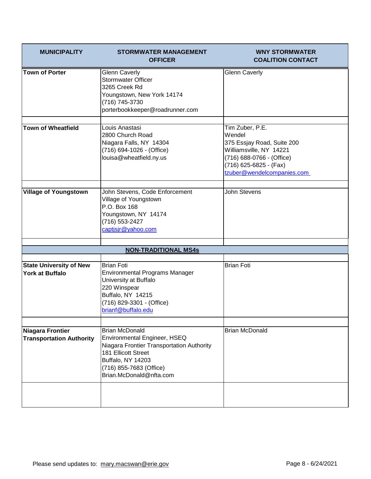| <b>MUNICIPALITY</b>                                        | <b>STORMWATER MANAGEMENT</b><br><b>OFFICER</b>                                                                                                                                     | <b>WNY STORMWATER</b><br><b>COALITION CONTACT</b>                                                                                                                       |
|------------------------------------------------------------|------------------------------------------------------------------------------------------------------------------------------------------------------------------------------------|-------------------------------------------------------------------------------------------------------------------------------------------------------------------------|
| <b>Town of Porter</b>                                      | <b>Glenn Caverly</b><br><b>Stormwater Officer</b><br>3265 Creek Rd<br>Youngstown, New York 14174<br>(716) 745-3730<br>porterbookkeeper@roadrunner.com                              | <b>Glenn Caverly</b>                                                                                                                                                    |
| <b>Town of Wheatfield</b>                                  | Louis Anastasi<br>2800 Church Road<br>Niagara Falls, NY 14304<br>(716) 694-1026 - (Office)<br>louisa@wheatfield.ny.us                                                              | Tim Zuber, P.E.<br>Wendel<br>375 Essjay Road, Suite 200<br>Williamsville, NY 14221<br>(716) 688-0766 - (Office)<br>(716) 625-6825 - (Fax)<br>tzuber@wendelcompanies.com |
| <b>Village of Youngstown</b>                               | John Stevens, Code Enforcement<br>Village of Youngstown<br>P.O. Box 168<br>Youngstown, NY 14174<br>(716) 553-2427<br>captjsjr@yahoo.com                                            | <b>John Stevens</b>                                                                                                                                                     |
|                                                            | <b>NON-TRADITIONAL MS4s</b>                                                                                                                                                        |                                                                                                                                                                         |
| <b>State University of New</b><br><b>York at Buffalo</b>   | <b>Brian Foti</b><br><b>Environmental Programs Manager</b><br>University at Buffalo<br>220 Winspear<br>Buffalo, NY 14215<br>(716) 829-3301 - (Office)<br>brianf@buffalo.edu        | <b>Brian Foti</b>                                                                                                                                                       |
|                                                            | <b>Brian McDonald</b>                                                                                                                                                              | <b>Brian McDonald</b>                                                                                                                                                   |
| <b>Niagara Frontier</b><br><b>Transportation Authority</b> | Environmental Engineer, HSEQ<br>Niagara Frontier Transportation Authority<br><b>181 Ellicott Street</b><br>Buffalo, NY 14203<br>(716) 855-7683 (Office)<br>Brian.McDonald@nfta.com |                                                                                                                                                                         |
|                                                            |                                                                                                                                                                                    |                                                                                                                                                                         |